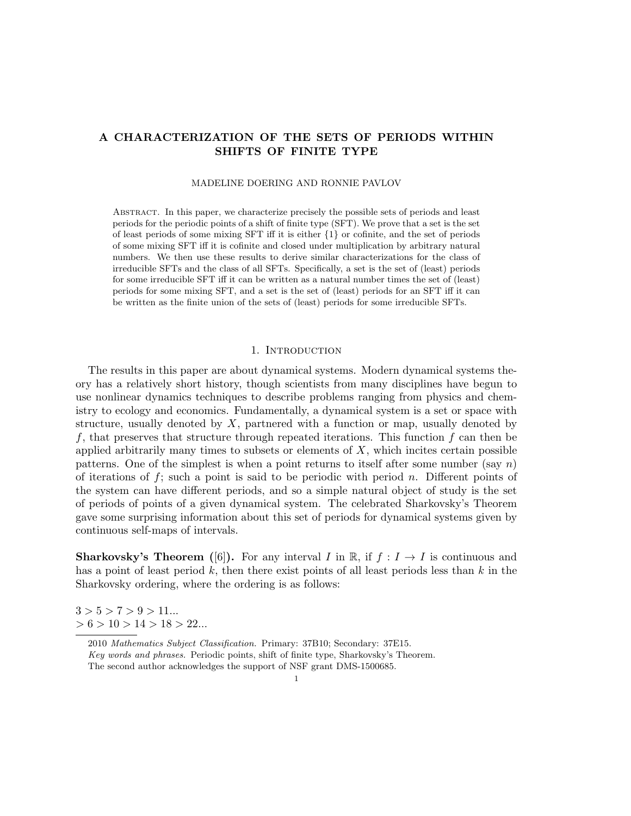# **A CHARACTERIZATION OF THE SETS OF PERIODS WITHIN SHIFTS OF FINITE TYPE**

## MADELINE DOERING AND RONNIE PAVLOV

Abstract. In this paper, we characterize precisely the possible sets of periods and least periods for the periodic points of a shift of finite type (SFT). We prove that a set is the set of least periods of some mixing SFT iff it is either *{*1*}* or cofinite, and the set of periods of some mixing SFT iff it is cofinite and closed under multiplication by arbitrary natural numbers. We then use these results to derive similar characterizations for the class of irreducible SFTs and the class of all SFTs. Specifically, a set is the set of (least) periods for some irreducible SFT iff it can be written as a natural number times the set of (least) periods for some mixing SFT, and a set is the set of (least) periods for an SFT iff it can be written as the finite union of the sets of (least) periods for some irreducible SFTs.

## 1. INTRODUCTION

The results in this paper are about dynamical systems. Modern dynamical systems theory has a relatively short history, though scientists from many disciplines have begun to use nonlinear dynamics techniques to describe problems ranging from physics and chemistry to ecology and economics. Fundamentally, a dynamical system is a set or space with structure, usually denoted by *X*, partnered with a function or map, usually denoted by *f*, that preserves that structure through repeated iterations. This function *f* can then be applied arbitrarily many times to subsets or elements of *X*, which incites certain possible patterns. One of the simplest is when a point returns to itself after some number (say *n*) of iterations of *f*; such a point is said to be periodic with period *n*. Different points of the system can have different periods, and so a simple natural object of study is the set of periods of points of a given dynamical system. The celebrated Sharkovsky's Theorem gave some surprising information about this set of periods for dynamical systems given by continuous self-maps of intervals.

**Sharkovsky's Theorem** ([6]). For any interval *I* in  $\mathbb{R}$ , if  $f: I \rightarrow I$  is continuous and has a point of least period *k*, then there exist points of all least periods less than *k* in the Sharkovsky ordering, where the ordering is as follows:

 $3 > 5 > 7 > 9 > 11...$ *>* 6 *>* 10 *>* 14 *>* 18 *>* 22*...*

<sup>2010</sup> *Mathematics Subject Classification.* Primary: 37B10; Secondary: 37E15. *Key words and phrases.* Periodic points, shift of finite type, Sharkovsky's Theorem. The second author acknowledges the support of NSF grant DMS-1500685.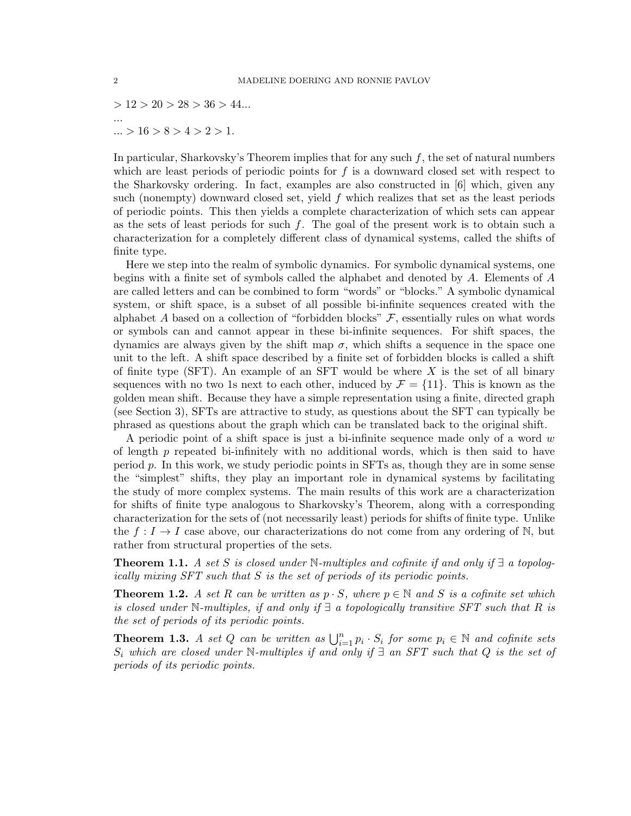*>* 12 *>* 20 *>* 28 *>* 36 *>* 44*... ... ... >* 16 *>* 8 *>* 4 *>* 2 *>* 1.

In particular, Sharkovsky's Theorem implies that for any such *f*, the set of natural numbers which are least periods of periodic points for *f* is a downward closed set with respect to the Sharkovsky ordering. In fact, examples are also constructed in [6] which, given any such (nonempty) downward closed set, yield *f* which realizes that set as the least periods of periodic points. This then yields a complete characterization of which sets can appear as the sets of least periods for such *f*. The goal of the present work is to obtain such a characterization for a completely different class of dynamical systems, called the shifts of finite type.

Here we step into the realm of symbolic dynamics. For symbolic dynamical systems, one begins with a finite set of symbols called the alphabet and denoted by *A*. Elements of *A* are called letters and can be combined to form "words" or "blocks." A symbolic dynamical system, or shift space, is a subset of all possible bi-infinite sequences created with the alphabet *A* based on a collection of "forbidden blocks"  $\mathcal{F}$ , essentially rules on what words or symbols can and cannot appear in these bi-infinite sequences. For shift spaces, the dynamics are always given by the shift map  $\sigma$ , which shifts a sequence in the space one unit to the left. A shift space described by a finite set of forbidden blocks is called a shift of finite type (SFT). An example of an SFT would be where *X* is the set of all binary sequences with no two 1s next to each other, induced by  $\mathcal{F} = \{11\}$ . This is known as the golden mean shift. Because they have a simple representation using a finite, directed graph (see Section 3), SFTs are attractive to study, as questions about the SFT can typically be phrased as questions about the graph which can be translated back to the original shift.

A periodic point of a shift space is just a bi-infinite sequence made only of a word *w* of length *p* repeated bi-infinitely with no additional words, which is then said to have period *p*. In this work, we study periodic points in SFTs as, though they are in some sense the "simplest" shifts, they play an important role in dynamical systems by facilitating the study of more complex systems. The main results of this work are a characterization for shifts of finite type analogous to Sharkovsky's Theorem, along with a corresponding characterization for the sets of (not necessarily least) periods for shifts of finite type. Unlike the  $f: I \to I$  case above, our characterizations do not come from any ordering of N, but rather from structural properties of the sets.

**Theorem 1.1.** *A set S is closed under*  $\mathbb{N}$ *-multiples and cofinite if and only if*  $\exists$  *a topologically mixing SFT such that S is the set of periods of its periodic points.*

**Theorem 1.2.** *A set R can be written as*  $p \cdot S$ *, where*  $p \in \mathbb{N}$  *and S is a cofinite set which is closed under* N*-multiples, if and only if ∃ a topologically transitive SFT such that R is the set of periods of its periodic points.*

**Theorem 1.3.** *A set Q can be written as*  $\bigcup_{i=1}^{n} p_i \cdot S_i$  *for some*  $p_i \in \mathbb{N}$  *and cofinite sets S<sup>i</sup> which are closed under* N*-multiples if and only if ∃ an SFT such that Q is the set of periods of its periodic points.*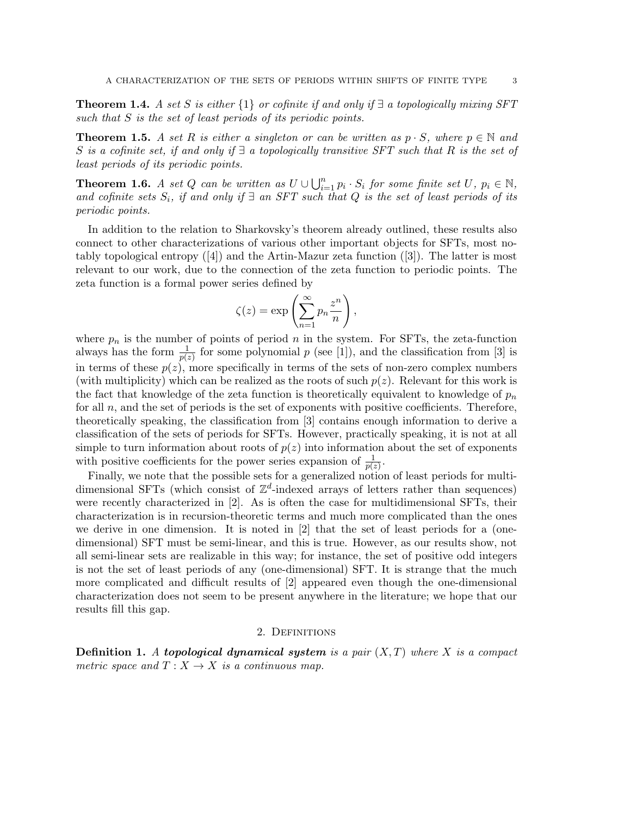**Theorem 1.4.** *A set S is either*  $\{1\}$  *or cofinite if and only if*  $\exists$  *a topologically mixing SFT such that S is the set of least periods of its periodic points.*

**Theorem 1.5.** A set R is either a singleton or can be written as  $p \cdot S$ , where  $p \in \mathbb{N}$  and *S is a cofinite set, if and only if ∃ a topologically transitive SFT such that R is the set of least periods of its periodic points.*

**Theorem 1.6.** A set Q can be written as  $U \cup \bigcup_{i=1}^{n} p_i \cdot S_i$  for some finite set  $U, p_i \in \mathbb{N}$ , *and cofinite sets Si, if and only if ∃ an SFT such that Q is the set of least periods of its periodic points.*

In addition to the relation to Sharkovsky's theorem already outlined, these results also connect to other characterizations of various other important objects for SFTs, most notably topological entropy ([4]) and the Artin-Mazur zeta function ([3]). The latter is most relevant to our work, due to the connection of the zeta function to periodic points. The zeta function is a formal power series defined by

$$
\zeta(z) = \exp\left(\sum_{n=1}^{\infty} p_n \frac{z^n}{n}\right),\,
$$

where  $p_n$  is the number of points of period  $n$  in the system. For SFTs, the zeta-function always has the form  $\frac{1}{p(z)}$  for some polynomial *p* (see [1]), and the classification from [3] is in terms of these  $p(z)$ , more specifically in terms of the sets of non-zero complex numbers (with multiplicity) which can be realized as the roots of such  $p(z)$ . Relevant for this work is the fact that knowledge of the zeta function is theoretically equivalent to knowledge of  $p<sub>n</sub>$ for all *n*, and the set of periods is the set of exponents with positive coefficients. Therefore, theoretically speaking, the classification from [3] contains enough information to derive a classification of the sets of periods for SFTs. However, practically speaking, it is not at all simple to turn information about roots of  $p(z)$  into information about the set of exponents with positive coefficients for the power series expansion of  $\frac{1}{p(z)}$ .

Finally, we note that the possible sets for a generalized notion of least periods for multidimensional SFTs (which consist of  $\mathbb{Z}^d$ -indexed arrays of letters rather than sequences) were recently characterized in [2]. As is often the case for multidimensional SFTs, their characterization is in recursion-theoretic terms and much more complicated than the ones we derive in one dimension. It is noted in [2] that the set of least periods for a (onedimensional) SFT must be semi-linear, and this is true. However, as our results show, not all semi-linear sets are realizable in this way; for instance, the set of positive odd integers is not the set of least periods of any (one-dimensional) SFT. It is strange that the much more complicated and difficult results of [2] appeared even though the one-dimensional characterization does not seem to be present anywhere in the literature; we hope that our results fill this gap.

## 2. Definitions

**Definition 1.** *A topological dynamical system is a pair* (*X, T*) *where X is a compact metric space and*  $T: X \to X$  *is a continuous map.*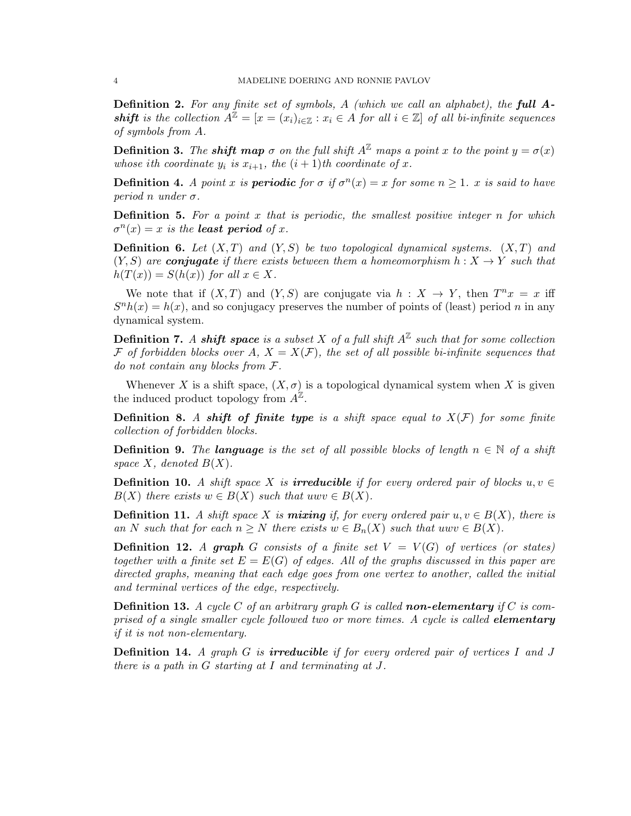**Definition 2.** *For any finite set of symbols, A (which we call an alphabet), the full A***shift** is the collection  $A^{\mathbb{Z}} = [x = (x_i)_{i \in \mathbb{Z}} : x_i \in A$  for all  $i \in \mathbb{Z}$  of all bi-infinite sequences *of symbols from A.*

**Definition 3.** The **shift map**  $\sigma$  on the full shift  $A^{\mathbb{Z}}$  maps a point x to the point  $y = \sigma(x)$ *whose i*th coordinate  $y_i$  *is*  $x_{i+1}$ *, the*  $(i + 1)$ *th coordinate of*  $x$ *.* 

**Definition 4.** *A point x is periodic for*  $\sigma$  *if*  $\sigma^n(x) = x$  *for some*  $n \geq 1$ *. x is said to have period n under*  $\sigma$ *.* 

**Definition 5.** *For a point x that is periodic, the smallest positive integer n for which*  $\sigma^n(x) = x$  *is the least period of <i>x*.

**Definition 6.** *Let* (*X, T*) *and* (*Y, S*) *be two topological dynamical systems.* (*X, T*) *and*  $(Y, S)$  are *conjugate* if there exists between them a homeomorphism  $h: X \rightarrow Y$  such that  $h(T(x)) = S(h(x))$  *for all*  $x \in X$ *.* 

We note that if  $(X, T)$  and  $(Y, S)$  are conjugate via  $h: X \to Y$ , then  $T^n x = x$  iff  $S<sup>n</sup>h(x) = h(x)$ , and so conjugacy preserves the number of points of (least) period *n* in any dynamical system.

**Definition 7.** *A shift* **space** is a subset X of a full shift  $A^{\mathbb{Z}}$  such that for some collection *F* of forbidden blocks over  $A$ ,  $X = X(F)$ , the set of all possible bi-infinite sequences that *do not contain any blocks from F.*

Whenever *X* is a shift space,  $(X, \sigma)$  is a topological dynamical system when *X* is given the induced product topology from  $A^{\mathbb{Z}}$ .

**Definition 8.** A shift of finite type is a shift space equal to  $X(F)$  for some finite *collection of forbidden blocks.*

**Definition 9.** *The language is the set of all possible blocks of length*  $n \in \mathbb{N}$  *of a shift* space  $X$ *, denoted*  $B(X)$ *.* 

**Definition 10.** *A shift space*  $X$  *is irreducible if for every ordered pair of blocks*  $u, v \in$  $B(X)$  *there exists*  $w \in B(X)$  *such that*  $u w v \in B(X)$ *.* 

**Definition 11.** *A shift space X is mixing if, for every ordered pair*  $u, v \in B(X)$ , there is *an N such that for each*  $n \geq N$  *there exists*  $w \in B_n(X)$  *such that*  $u w v \in B(X)$ *.* 

**Definition 12.** *A* graph *G* consists of a finite set  $V = V(G)$  of vertices (or states) *together with a finite set*  $E = E(G)$  *of edges. All of the graphs discussed in this paper are directed graphs, meaning that each edge goes from one vertex to another, called the initial and terminal vertices of the edge, respectively.*

**Definition 13.** A cycle C of an arbitrary graph G is called **non-elementary** if C is com*prised of a single smaller cycle followed two or more times. A cycle is called elementary if it is not non-elementary.*

**Definition 14.** *A graph G is irreducible if for every ordered pair of vertices I and J there is a path in G starting at I and terminating at J.*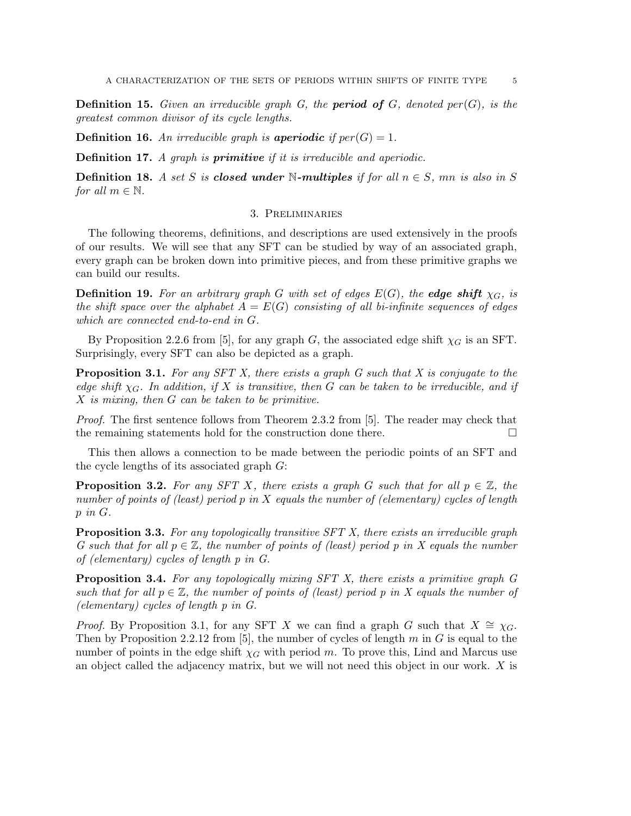**Definition 15.** *Given an irreducible graph G, the period of G, denoted per*(*G*)*, is the greatest common divisor of its cycle lengths.*

**Definition 16.** An irreducible graph is **aperiodic** if  $per(G) = 1$ .

**Definition 17.** *A graph is primitive if it is irreducible and aperiodic.*

**Definition 18.** *A set S is closed under* N-multiples if for all  $n \in S$ , mn is also in S *for all*  $m \in \mathbb{N}$ *.* 

## 3. Preliminaries

The following theorems, definitions, and descriptions are used extensively in the proofs of our results. We will see that any SFT can be studied by way of an associated graph, every graph can be broken down into primitive pieces, and from these primitive graphs we can build our results.

**Definition 19.** For an arbitrary graph *G* with set of edges  $E(G)$ , the **edge shift**  $\chi_G$ , is *the shift space over the alphabet*  $A = E(G)$  *consisting of all bi-infinite sequences of edges which are connected end-to-end in G.*

By Proposition 2.2.6 from [5], for any graph *G*, the associated edge shift  $\chi_G$  is an SFT. Surprisingly, every SFT can also be depicted as a graph.

**Proposition 3.1.** *For any SFT X, there exists a graph G such that X is conjugate to the edge shift*  $\chi_G$ *. In addition, if*  $X$  *is transitive, then*  $G$  *can be taken to be irreducible, and if X is mixing, then G can be taken to be primitive.*

*Proof.* The first sentence follows from Theorem 2.3.2 from [5]. The reader may check that the remaining statements hold for the construction done there.

This then allows a connection to be made between the periodic points of an SFT and the cycle lengths of its associated graph *G*:

**Proposition 3.2.** For any SFT X, there exists a graph G such that for all  $p \in \mathbb{Z}$ , the *number of points of (least) period p in X equals the number of (elementary) cycles of length p in G.*

**Proposition 3.3.** *For any topologically transitive SFT X, there exists an irreducible graph G* such that for all  $p \in \mathbb{Z}$ , the number of points of (least) period p in X equals the number *of (elementary) cycles of length p in G.*

**Proposition 3.4.** *For any topologically mixing SFT X, there exists a primitive graph G such that for all*  $p \in \mathbb{Z}$ , the number of points of (least) period p in X equals the number of *(elementary) cycles of length p in G.*

*Proof.* By Proposition 3.1, for any SFT *X* we can find a graph *G* such that  $X \cong \chi_G$ . Then by Proposition 2.2.12 from [5], the number of cycles of length *m* in *G* is equal to the number of points in the edge shift  $\chi_G$  with period *m*. To prove this, Lind and Marcus use an object called the adjacency matrix, but we will not need this object in our work. *X* is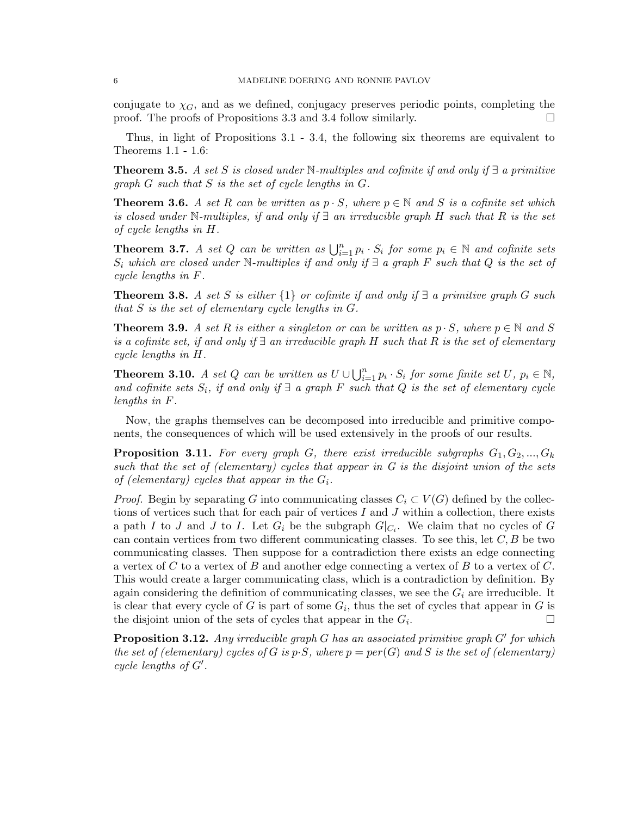conjugate to  $\chi_G$ , and as we defined, conjugacy preserves periodic points, completing the proof. The proofs of Propositions 3.3 and 3.4 follow similarly.  $\Box$ 

Thus, in light of Propositions 3.1 - 3.4, the following six theorems are equivalent to Theorems 1.1 - 1.6:

**Theorem 3.5.** *A set S is closed under* N*-multiples and cofinite if and only if ∃ a primitive graph G such that S is the set of cycle lengths in G.*

**Theorem 3.6.** *A set R can be written as*  $p \cdot S$ *, where*  $p \in \mathbb{N}$  *and S is a cofinite set which is closed under* N*-multiples, if and only if ∃ an irreducible graph H such that R is the set of cycle lengths in H.*

**Theorem 3.7.** *A set Q can be written as*  $\bigcup_{i=1}^{n} p_i \cdot S_i$  *for some*  $p_i \in \mathbb{N}$  *and cofinite sets*  $S_i$  *which are closed under*  $\mathbb{N}$ *-multiples if and only if*  $\exists$  *a graph*  $F$  *such that*  $Q$  *is the set of cycle lengths in F.*

**Theorem 3.8.** *A set S is either*  $\{1\}$  *or cofinite if and only if*  $\exists$  *a primitive graph G such that S is the set of elementary cycle lengths in G.*

**Theorem 3.9.** *A set R is either a singleton or can be written as*  $p \cdot S$ *, where*  $p \in \mathbb{N}$  and *S is a cofinite set, if and only if ∃ an irreducible graph H such that R is the set of elementary cycle lengths in H.*

**Theorem 3.10.** A set Q can be written as  $U \cup \bigcup_{i=1}^{n} p_i \cdot S_i$  for some finite set U,  $p_i \in \mathbb{N}$ , *and cofinite sets Si, if and only if ∃ a graph F such that Q is the set of elementary cycle lengths in F.*

Now, the graphs themselves can be decomposed into irreducible and primitive components, the consequences of which will be used extensively in the proofs of our results.

**Proposition 3.11.** For every graph *G*, there exist irreducible subgraphs  $G_1, G_2, ..., G_k$ *such that the set of (elementary) cycles that appear in G is the disjoint union of the sets of (elementary) cycles that appear in the*  $G_i$ .

*Proof.* Begin by separating *G* into communicating classes  $C_i \subset V(G)$  defined by the collections of vertices such that for each pair of vertices *I* and *J* within a collection, there exists a path *I* to *J* and *J* to *I*. Let  $G_i$  be the subgraph  $G|_{C_i}$ . We claim that no cycles of  $G$ can contain vertices from two different communicating classes. To see this, let *C, B* be two communicating classes. Then suppose for a contradiction there exists an edge connecting a vertex of *C* to a vertex of *B* and another edge connecting a vertex of *B* to a vertex of *C*. This would create a larger communicating class, which is a contradiction by definition. By again considering the definition of communicating classes, we see the  $G_i$  are irreducible. It is clear that every cycle of *G* is part of some  $G_i$ , thus the set of cycles that appear in *G* is the disjoint union of the sets of cycles that appear in the  $G_i$ . .

**Proposition 3.12.** *Any irreducible graph G has an associated primitive graph G′ for which the set of (elementary) cycles of G is*  $p \cdot S$ *, where*  $p = per(G)$  *and S is the set of (elementary) cycle lengths of G′ .*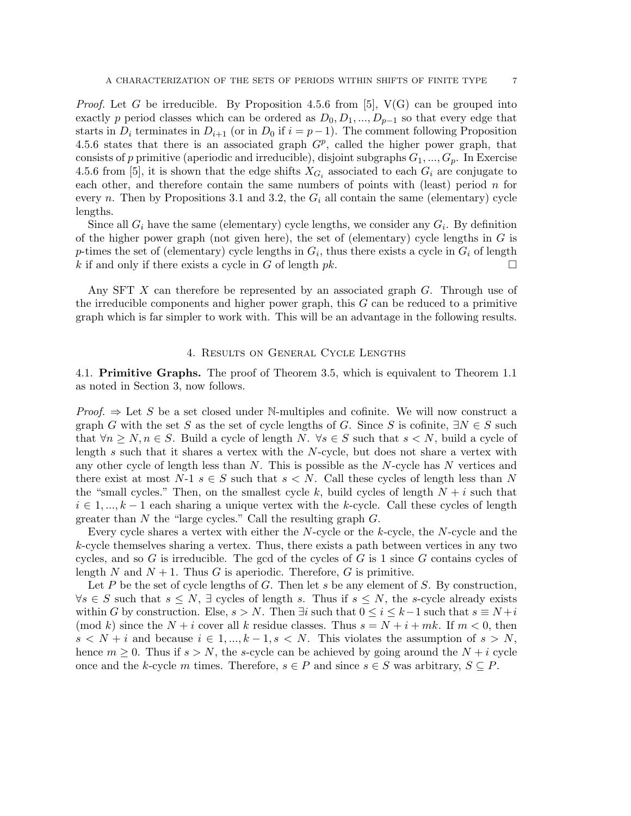*Proof.* Let *G* be irreducible. By Proposition 4.5.6 from [5],  $V(G)$  can be grouped into exactly *p* period classes which can be ordered as  $D_0, D_1, ..., D_{p-1}$  so that every edge that starts in  $D_i$  terminates in  $D_{i+1}$  (or in  $D_0$  if  $i = p-1$ ). The comment following Proposition 4.5.6 states that there is an associated graph  $G^p$ , called the higher power graph, that consists of p primitive (aperiodic and irreducible), disjoint subgraphs  $G_1, ..., G_p$ . In Exercise 4.5.6 from [5], it is shown that the edge shifts  $X_{G_i}$  associated to each  $G_i$  are conjugate to each other, and therefore contain the same numbers of points with (least) period *n* for every *n*. Then by Propositions 3.1 and 3.2, the  $G_i$  all contain the same (elementary) cycle lengths.

Since all  $G_i$  have the same (elementary) cycle lengths, we consider any  $G_i$ . By definition of the higher power graph (not given here), the set of (elementary) cycle lengths in *G* is *p*-times the set of (elementary) cycle lengths in  $G_i$ , thus there exists a cycle in  $G_i$  of length *k* if and only if there exists a cycle in *G* of length *pk*.

Any SFT *X* can therefore be represented by an associated graph *G*. Through use of the irreducible components and higher power graph, this *G* can be reduced to a primitive graph which is far simpler to work with. This will be an advantage in the following results.

## 4. Results on General Cycle Lengths

4.1. **Primitive Graphs.** The proof of Theorem 3.5, which is equivalent to Theorem 1.1 as noted in Section 3, now follows.

*Proof.*  $\Rightarrow$  Let *S* be a set closed under N-multiples and cofinite. We will now construct a graph *G* with the set *S* as the set of cycle lengths of *G*. Since *S* is cofinite,  $\exists N \in S$  such that  $\forall n \geq N, n \in S$ . Build a cycle of length *N*.  $\forall s \in S$  such that  $s \leq N$ , build a cycle of length *s* such that it shares a vertex with the *N*-cycle, but does not share a vertex with any other cycle of length less than *N*. This is possible as the *N*-cycle has *N* vertices and there exist at most  $N-1$   $s \in S$  such that  $s < N$ . Call these cycles of length less than N the "small cycles." Then, on the smallest cycle  $k$ , build cycles of length  $N + i$  such that *i ∈* 1*, ..., k −* 1 each sharing a unique vertex with the *k*-cycle. Call these cycles of length greater than *N* the "large cycles." Call the resulting graph *G*.

Every cycle shares a vertex with either the *N*-cycle or the *k*-cycle, the *N*-cycle and the *k*-cycle themselves sharing a vertex. Thus, there exists a path between vertices in any two cycles, and so *G* is irreducible. The gcd of the cycles of *G* is 1 since *G* contains cycles of length *N* and  $N + 1$ . Thus *G* is aperiodic. Therefore, *G* is primitive.

Let *P* be the set of cycle lengths of *G*. Then let *s* be any element of *S*. By construction, *∀s</i> ∈ S such that <math>s ≤ N</math>, <math>∃</math> cycles of length s. Thus if <math>s ≤ N</math>, the s-cycle already exists* within *G* by construction. Else,  $s > N$ . Then  $\exists i$  such that  $0 \leq i \leq k-1$  such that  $s \equiv N+i$ (mod *k*) since the  $N + i$  cover all *k* residue classes. Thus  $s = N + i + mk$ . If  $m < 0$ , then  $s < N + i$  and because  $i \in 1, ..., k - 1, s < N$ . This violates the assumption of  $s > N$ , hence  $m \geq 0$ . Thus if  $s > N$ , the *s*-cycle can be achieved by going around the  $N + i$  cycle once and the *k*-cycle *m* times. Therefore,  $s \in P$  and since  $s \in S$  was arbitrary,  $S \subseteq P$ .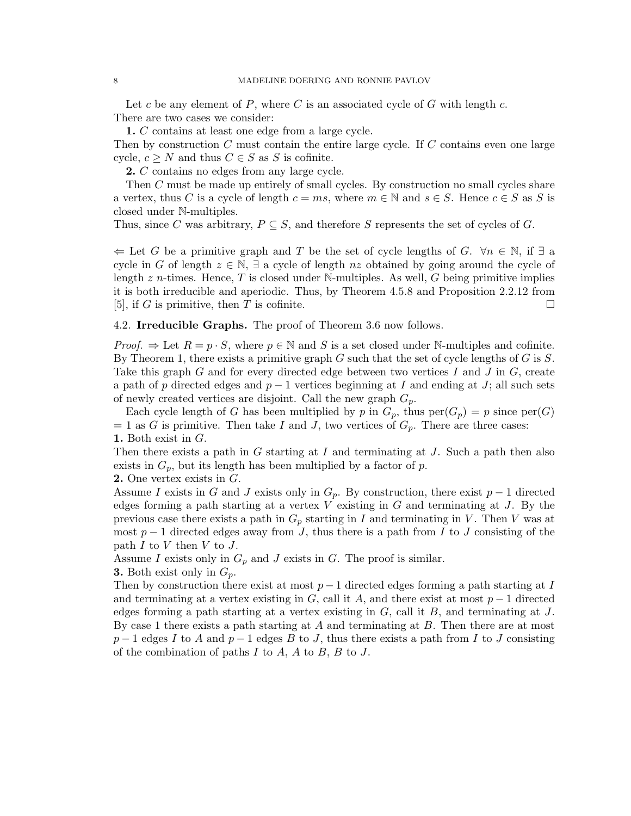Let *c* be any element of *P*, where *C* is an associated cycle of *G* with length *c*. There are two cases we consider:

**1.** *C* contains at least one edge from a large cycle.

Then by construction *C* must contain the entire large cycle. If *C* contains even one large cycle,  $c \geq N$  and thus  $C \in S$  as  $S$  is cofinite.

**2.** *C* contains no edges from any large cycle.

Then *C* must be made up entirely of small cycles. By construction no small cycles share a vertex, thus *C* is a cycle of length  $c = ms$ , where  $m \in \mathbb{N}$  and  $s \in S$ . Hence  $c \in S$  as *S* is closed under N-multiples.

Thus, since C was arbitrary,  $P \subseteq S$ , and therefore S represents the set of cycles of G.

*⇐* Let *G* be a primitive graph and *T* be the set of cycle lengths of *G*. *∀n ∈* N, if *∃* a cycle in *G* of length  $z \in \mathbb{N}$ ,  $\exists$  a cycle of length *nz* obtained by going around the cycle of length *z n*-times. Hence, *T* is closed under N-multiples. As well, *G* being primitive implies it is both irreducible and aperiodic. Thus, by Theorem 4.5.8 and Proposition 2.2.12 from [5], if *G* is primitive, then *T* is cofinite.

4.2. **Irreducible Graphs.** The proof of Theorem 3.6 now follows.

*Proof.*  $\Rightarrow$  Let  $R = p \cdot S$ , where  $p \in \mathbb{N}$  and *S* is a set closed under N-multiples and cofinite. By Theorem 1, there exists a primitive graph *G* such that the set of cycle lengths of *G* is *S*. Take this graph *G* and for every directed edge between two vertices *I* and *J* in *G*, create a path of *p* directed edges and *p −* 1 vertices beginning at *I* and ending at *J*; all such sets of newly created vertices are disjoint. Call the new graph *Gp*.

Each cycle length of *G* has been multiplied by *p* in  $G_p$ , thus  $\text{per}(G_p) = p$  since  $\text{per}(G)$  $= 1$  as *G* is primitive. Then take *I* and *J*, two vertices of  $G_p$ . There are three cases: **1.** Both exist in *G*.

Then there exists a path in *G* starting at *I* and terminating at *J*. Such a path then also exists in  $G_p$ , but its length has been multiplied by a factor of  $p$ .

**2.** One vertex exists in *G*.

Assume *I* exists in *G* and *J* exists only in  $G_p$ . By construction, there exist  $p-1$  directed edges forming a path starting at a vertex *V* existing in *G* and terminating at *J*. By the previous case there exists a path in *G<sup>p</sup>* starting in *I* and terminating in *V* . Then *V* was at most *p −* 1 directed edges away from *J*, thus there is a path from *I* to *J* consisting of the path *I* to *V* then *V* to *J*.

Assume *I* exists only in  $G_p$  and *J* exists in *G*. The proof is similar.

**3.** Both exist only in *Gp*.

Then by construction there exist at most  $p-1$  directed edges forming a path starting at *I* and terminating at a vertex existing in *G*, call it *A*, and there exist at most  $p-1$  directed edges forming a path starting at a vertex existing in *G*, call it *B*, and terminating at *J*. By case 1 there exists a path starting at *A* and terminating at *B*. Then there are at most  $p-1$  edges *I* to *A* and  $p-1$  edges *B* to *J*, thus there exists a path from *I* to *J* consisting of the combination of paths *I* to *A*, *A* to *B*, *B* to *J*.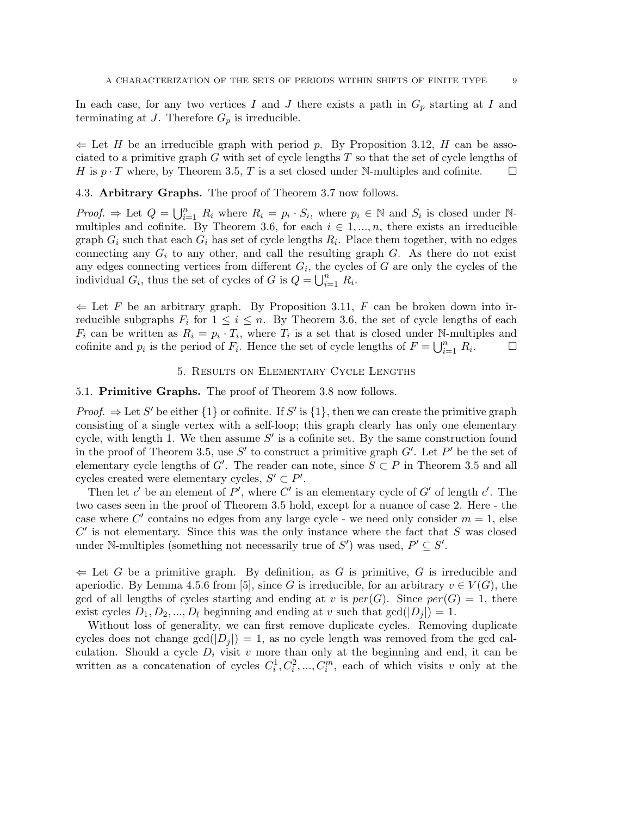In each case, for any two vertices *I* and *J* there exists a path in *G<sup>p</sup>* starting at *I* and terminating at  $J$ . Therefore  $G_p$  is irreducible.

*⇐* Let *H* be an irreducible graph with period *p*. By Proposition 3.12, *H* can be associated to a primitive graph *G* with set of cycle lengths *T* so that the set of cycle lengths of *H* is *p*  $\cdot$  *T* where, by Theorem 3.5, *T* is a set closed under N-multiples and cofinite.  $\square$ 

4.3. **Arbitrary Graphs.** The proof of Theorem 3.7 now follows.

*Proof.*  $\Rightarrow$  Let  $Q = \bigcup_{i=1}^{n} R_i$  where  $R_i = p_i \cdot S_i$ , where  $p_i \in \mathbb{N}$  and  $S_i$  is closed under Nmultiples and cofinite. By Theorem 3.6, for each  $i \in 1, ..., n$ , there exists an irreducible graph  $G_i$  such that each  $G_i$  has set of cycle lengths  $R_i$ . Place them together, with no edges connecting any  $G_i$  to any other, and call the resulting graph  $G$ . As there do not exist any edges connecting vertices from different  $G_i$ , the cycles of  $G$  are only the cycles of the individual  $G_i$ , thus the set of cycles of  $G$  is  $Q = \bigcup_{i=1}^n R_i$ .

*⇐* Let *F* be an arbitrary graph. By Proposition 3.11, *F* can be broken down into irreducible subgraphs  $F_i$  for  $1 \leq i \leq n$ . By Theorem 3.6, the set of cycle lengths of each  $F_i$  can be written as  $R_i = p_i \cdot T_i$ , where  $T_i$  is a set that is closed under N-multiples and cofinite and  $p_i$  is the period of  $F_i$ . Hence the set of cycle lengths of  $F = \bigcup_{i=1}^n R_i$  $\Box$ 

## 5. Results on Elementary Cycle Lengths

## 5.1. **Primitive Graphs.** The proof of Theorem 3.8 now follows.

*Proof.*  $\Rightarrow$  Let *S'* be either  $\{1\}$  or cofinite. If *S'* is  $\{1\}$ , then we can create the primitive graph consisting of a single vertex with a self-loop; this graph clearly has only one elementary cycle, with length 1. We then assume *S ′* is a cofinite set. By the same construction found in the proof of Theorem 3.5, use *S ′* to construct a primitive graph *G′* . Let *P ′* be the set of elementary cycle lengths of *G<sup>'</sup>*. The reader can note, since  $S \subset P$  in Theorem 3.5 and all cycles created were elementary cycles,  $S' \subset P'$ .

Then let  $c'$  be an element of  $P'$ , where  $C'$  is an elementary cycle of  $G'$  of length  $c'$ . The two cases seen in the proof of Theorem 3.5 hold, except for a nuance of case 2. Here - the case where  $C'$  contains no edges from any large cycle - we need only consider  $m = 1$ , else  $C'$  is not elementary. Since this was the only instance where the fact that  $S$  was closed under N-multiples (something not necessarily true of  $S'$ ) was used,  $P' \subseteq S'$ .

*⇐* Let *G* be a primitive graph. By definition, as *G* is primitive, *G* is irreducible and aperiodic. By Lemma 4.5.6 from [5], since *G* is irreducible, for an arbitrary  $v \in V(G)$ , the gcd of all lengths of cycles starting and ending at *v* is  $per(G)$ . Since  $per(G) = 1$ , there exist cycles  $D_1, D_2, ..., D_l$  beginning and ending at *v* such that  $gcd(|D_i|) = 1$ .

Without loss of generality, we can first remove duplicate cycles. Removing duplicate cycles does not change  $gcd(|D_i|) = 1$ , as no cycle length was removed from the gcd calculation. Should a cycle  $D_i$  visit  $v$  more than only at the beginning and end, it can be written as a concatenation of cycles  $C_i^1, C_i^2, ..., C_i^m$ , each of which visits *v* only at the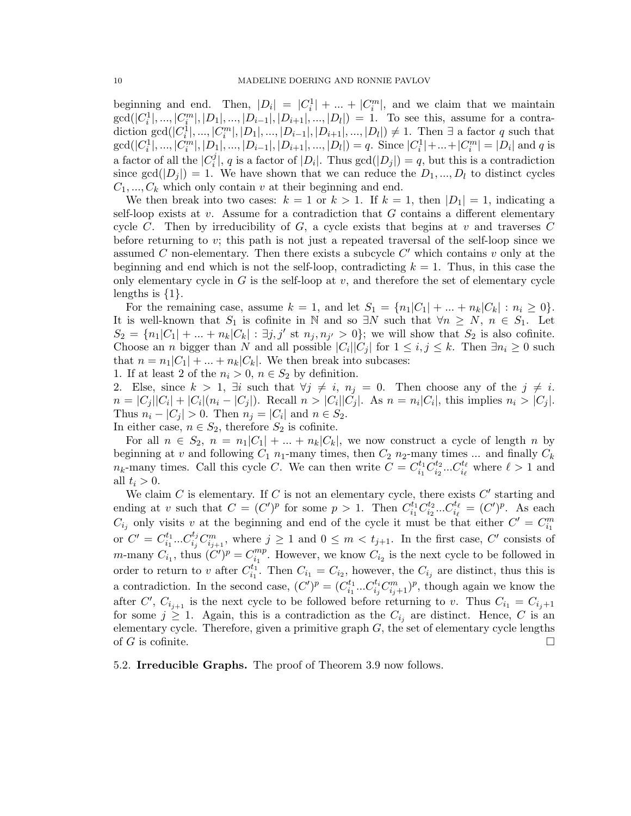beginning and end. Then,  $|D_i| = |C_i^1| + ... + |C_i^m|$ , and we claim that we maintain  $gcd(|C_i^1|, ..., |C_i^m|, |D_1|, ..., |D_{i-1}|, |D_{i+1}|, ..., |D_l|) = 1$ . To see this, assume for a contradiction  $gcd(|C_i^1|, ..., |C_i^m|, |D_1|, ..., |D_{i-1}|, |D_{i+1}|, ..., |D_l|) \neq 1$ . Then  $\exists$  a factor q such that  $gcd(|C_i^1|, ..., |C_i^m|, |D_1|, ..., |D_{i-1}|, |D_{i+1}|, ..., |D_l|) = q.$  Since  $|C_i^1| + ... + |C_i^m| = |D_i|$  and q is a factor of all the  $|C_i^j|$  ${}_{i}^{j}$ , *q* is a factor of  $|D_{i}|$ . Thus  $gcd(|D_{j}|) = q$ , but this is a contradiction since  $gcd(|D_j|) = 1$ . We have shown that we can reduce the  $D_1, ..., D_l$  to distinct cycles  $C_1, \ldots, C_k$  which only contain *v* at their beginning and end.

We then break into two cases:  $k = 1$  or  $k > 1$ . If  $k = 1$ , then  $|D_1| = 1$ , indicating a self-loop exists at *v*. Assume for a contradiction that *G* contains a different elementary cycle *C*. Then by irreducibility of *G*, a cycle exists that begins at *v* and traverses *C* before returning to *v*; this path is not just a repeated traversal of the self-loop since we assumed *C* non-elementary. Then there exists a subcycle *C ′* which contains *v* only at the beginning and end which is not the self-loop, contradicting  $k = 1$ . Thus, in this case the only elementary cycle in  $G$  is the self-loop at  $v$ , and therefore the set of elementary cycle lengths is *{*1*}*.

For the remaining case, assume  $k = 1$ , and let  $S_1 = \{n_1 | C_1 | + ... + n_k | C_k | : n_i \ge 0\}$ . It is well-known that  $S_1$  is cofinite in N and so  $\exists N$  such that  $\forall n \geq N, n \in S_1$ . Let  $S_2 = \{n_1|C_1| + ... + n_k|C_k| : \exists j, j' \text{ st } n_j, n_{j'} > 0\};\$  we will show that  $S_2$  is also cofinite. Choose an *n* bigger than *N* and all possible  $|C_i||C_j|$  for  $1 \leq i, j \leq k$ . Then  $\exists n_i \geq 0$  such that  $n = n_1 |C_1| + ... + n_k |C_k|$ . We then break into subcases:

1. If at least 2 of the  $n_i > 0$ ,  $n \in S_2$  by definition.

2. Else, since  $k > 1$ ,  $\exists i$  such that  $\forall j \neq i$ ,  $n_j = 0$ . Then choose any of the  $j \neq i$ .  $n = |C_j||C_i| + |C_i|(n_i - |C_j|)$ . Recall  $n > |C_i||C_j|$ . As  $n = n_i|C_i|$ , this implies  $n_i > |C_j|$ . Thus  $n_i - |C_j| > 0$ . Then  $n_j = |C_i|$  and  $n \in S_2$ . In either case,  $n \in S_2$ , therefore  $S_2$  is cofinite.

For all  $n \in S_2$ ,  $n = n_1|C_1| + ... + n_k|C_k|$ , we now construct a cycle of length *n* by beginning at  $v$  and following  $C_1$   $n_1$ -many times, then  $C_2$   $n_2$ -many times ... and finally  $C_k$  $n_k$ -many times. Call this cycle *C*. We can then write  $C = C_{i_1}^{t_1}$  $\frac{t_1}{i_1}C_{i_2}^{t_2}$  $\sum_{i_2}^{t_2} \dots C_{i_\ell}^{t_\ell}$  where  $\ell > 1$  and all  $t_i > 0$ .

We claim *C* is elementary. If *C* is not an elementary cycle, there exists *C ′* starting and ending at *v* such that  $C = (C')^p$  for some  $p > 1$ . Then  $C_{i_1}^{t_1}$  $\frac{d_1}{i_1} C_{i_2}^{t_2}$  $i_2^{t_2}...C_{i_\ell}^{t_\ell} = (C')^p$ . As each  $C_{i_j}$  only visits *v* at the beginning and end of the cycle it must be that either  $C' = C_{i_1}^m$ or  $C' = C_{i_1}^{t_1}$  $i_1^{t_1}...C_{i_j}^{t_j}C_{i_{j+1}}^m$ , where  $j \geq 1$  and  $0 \leq m < t_{j+1}$ . In the first case, *C*<sup>'</sup> consists of *m*-many  $C_{i_1}$ , thus  $(C')^p = C_{i_1}^{mp}$  $\binom{mp}{i_1}$ . However, we know  $C_{i_2}$  is the next cycle to be followed in order to return to *v* after  $C_{i_1}^{t_1}$  $C_{i_1}$ . Then  $C_{i_1} = C_{i_2}$ , however, the  $C_{i_j}$  are distinct, thus this is a contradiction. In the second case,  $(C')^p = (C_{i_1}^{t_1})$  $C^{t_1}_{i_1} \dots C^{t_i}_{i_j} C^{m}_{i_j+1}$ , though again we know the after *C'*,  $C_{i_j+1}$  is the next cycle to be followed before returning to *v*. Thus  $C_{i_1} = C_{i_j+1}$ for some  $j \geq 1$ . Again, this is a contradiction as the  $C_{i_j}$  are distinct. Hence, C is an elementary cycle. Therefore, given a primitive graph *G*, the set of elementary cycle lengths of *G* is cofinite.

5.2. **Irreducible Graphs.** The proof of Theorem 3.9 now follows.